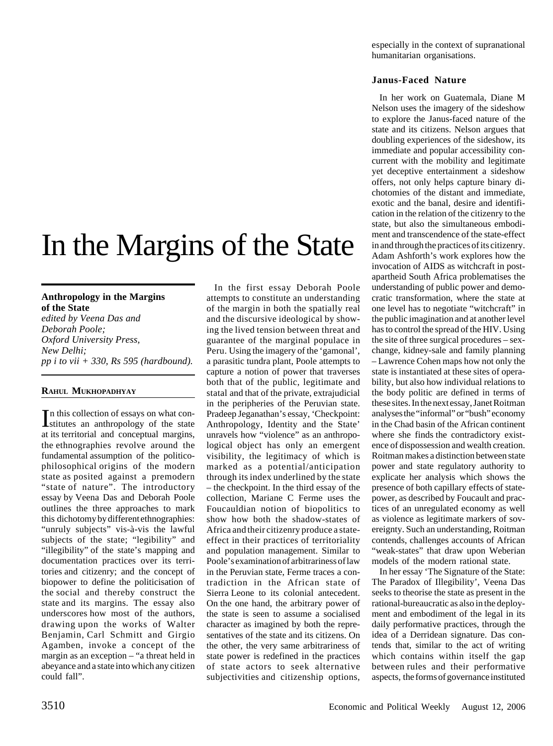# In the Margins of the State

## **Anthropology in the Margins of the State**

*edited by Veena Das and Deborah Poole; Oxford University Press, New Delhi; pp i to vii + 330, Rs 595 (hardbound).*

#### **RAHUL MUKHOPADHYAY**

In this collection of essays on what con-<br>Istitutes an anthropology of the state stitutes an anthropology of the state at its territorial and conceptual margins, the ethnographies revolve around the fundamental assumption of the politicophilosophical origins of the modern state as posited against a premodern "state of nature". The introductory essay by Veena Das and Deborah Poole outlines the three approaches to mark this dichotomy by different ethnographies: "unruly subjects" vis-à-vis the lawful subjects of the state; "legibility" and "illegibility" of the state's mapping and documentation practices over its territories and citizenry; and the concept of biopower to define the politicisation of the social and thereby construct the state and its margins. The essay also underscores how most of the authors, drawing upon the works of Walter Benjamin, Carl Schmitt and Girgio Agamben, invoke a concept of the margin as an exception – "a threat held in abeyance and a state into which any citizen could fall".

In the first essay Deborah Poole attempts to constitute an understanding of the margin in both the spatially real and the discursive ideological by showing the lived tension between threat and guarantee of the marginal populace in Peru. Using the imagery of the 'gamonal', a parasitic tundra plant, Poole attempts to capture a notion of power that traverses both that of the public, legitimate and statal and that of the private, extrajudicial in the peripheries of the Peruvian state. Pradeep Jeganathan's essay, 'Checkpoint: Anthropology, Identity and the State' unravels how "violence" as an anthropological object has only an emergent visibility, the legitimacy of which is marked as a potential/anticipation through its index underlined by the state – the checkpoint. In the third essay of the collection, Mariane C Ferme uses the Foucauldian notion of biopolitics to show how both the shadow-states of Africa and their citizenry produce a stateeffect in their practices of territoriality and population management. Similar to Poole's examination of arbitrariness of law in the Peruvian state, Ferme traces a contradiction in the African state of Sierra Leone to its colonial antecedent. On the one hand, the arbitrary power of the state is seen to assume a socialised character as imagined by both the representatives of the state and its citizens. On the other, the very same arbitrariness of state power is redefined in the practices of state actors to seek alternative subjectivities and citizenship options,

especially in the context of supranational humanitarian organisations.

### **Janus-Faced Nature**

In her work on Guatemala, Diane M Nelson uses the imagery of the sideshow to explore the Janus-faced nature of the state and its citizens. Nelson argues that doubling experiences of the sideshow, its immediate and popular accessibility concurrent with the mobility and legitimate yet deceptive entertainment a sideshow offers, not only helps capture binary dichotomies of the distant and immediate, exotic and the banal, desire and identification in the relation of the citizenry to the state, but also the simultaneous embodiment and transcendence of the state-effect in and through the practices of its citizenry. Adam Ashforth's work explores how the invocation of AIDS as witchcraft in postapartheid South Africa problematises the understanding of public power and democratic transformation, where the state at one level has to negotiate "witchcraft" in the public imagination and at another level has to control the spread of the HIV. Using the site of three surgical procedures – sexchange, kidney-sale and family planning – Lawrence Cohen maps how not only the state is instantiated at these sites of operability, but also how individual relations to the body politic are defined in terms of these sites. In the next essay, Janet Roitman analyses the "informal" or "bush" economy in the Chad basin of the African continent where she finds the contradictory existence of dispossession and wealth creation. Roitman makes a distinction between state power and state regulatory authority to explicate her analysis which shows the presence of both capillary effects of statepower, as described by Foucault and practices of an unregulated economy as well as violence as legitimate markers of sovereignty. Such an understanding, Roitman contends, challenges accounts of African "weak-states" that draw upon Weberian models of the modern rational state.

In her essay 'The Signature of the State: The Paradox of Illegibility', Veena Das seeks to theorise the state as present in the rational-bureaucratic as also in the deployment and embodiment of the legal in its daily performative practices, through the idea of a Derridean signature. Das contends that, similar to the act of writing which contains within itself the gap between rules and their performative aspects, the forms of governance instituted